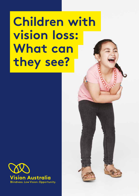# **Children with vision loss: What can they see?**



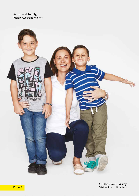**Aston and family,** Vision Australia clients



On the cover: **Paisley,** Vision Australia client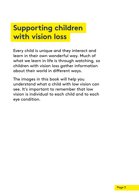#### **Supporting children with vision loss**

Every child is unique and they interact and learn in their own wonderful way. Much of what we learn in life is through watching, so children with vision loss gather information about their world in different ways.

The images in this book will help you understand what a child with low vision can see. It's important to remember that low vision is individual to each child and to each eye condition.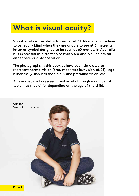#### **What is visual acuity?**

Visual acuity is the ability to see detail. Children are considered to be legally blind when they are unable to see at 6 metres a letter or symbol designed to be seen at 60 metres. In Australia it is expressed as a fraction between 6/6 and 6/60 or less for either near or distance vision.

The photographs in this booklet have been simulated to represent normal vision (6/6), moderate low vision (6/24), legal blindness (vision less than 6/60) and profound vision loss.

An eye specialist assesses visual acuity through a number of tests that may differ depending on the age of the child.

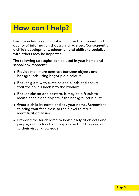#### **How can I help?**

Low vision has a significant impact on the amount and quality of information that a child receives. Consequently a child's development, education and ability to socialise with others may be impacted.

The following strategies can be used in your home and school environment:

- Provide maximum contrast between objects and backgrounds using bright plain colours.
- Reduce glare with curtains and blinds and ensure that the child's back is to the window.
- Reduce clutter and pattern. It may be difficult to locate people and objects if the background is busy.
- Greet a child by name and say your name. Remember to bring your face close to their level to make identification easier.
- Provide time for children to look closely at objects and people, and to touch and explore so that they can add to their visual knowledge.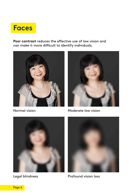#### **Faces**

**Poor contrast** reduces the effective use of low vision and can make it more difficult to identify individuals.



Normal vision



Moderate low vision





Profound vision loss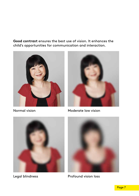**Good contrast** ensures the best use of vision. It enhances the child's opportunities for communication and interaction.



Normal vision



Moderate low vision





Profound vision loss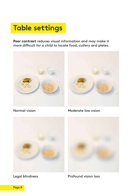# **Table settings**

**Poor contrast** reduces visual information and may make it more difficult for a child to locate food, cutlery and plates.





Normal vision

Moderate low vision





Profound vision loss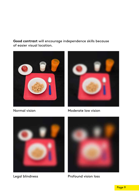**Good contrast** will encourage independence skills because of easier visual location.



Normal vision



Moderate low vision



Legal blindness



Profound vision loss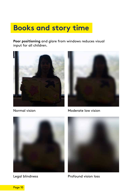# **Books and story time**

**Poor positioning** and glare from windows reduces visual input for all children.







Normal vision





Legal blindness



Profound vision loss

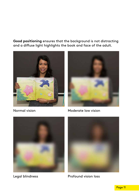**Good positioning** ensures that the background is not distracting and a diffuse light highlights the book and face of the adult.



Normal vision



Moderate low vision





Profound vision loss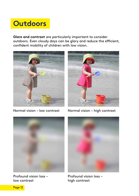# **Outdoors**

**Glare and contrast** are particularly important to consider outdoors. Even cloudy days can be glary and reduce the efficient, confident mobility of children with low vision.



Normal vision – low contrast



Normal vision – high contrast



Profound vision loss – low contrast



Profound vision loss – high contrast

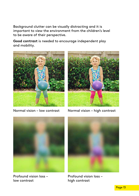Background clutter can be visually distracting and it is important to view the environment from the children's level to be aware of their perspective.

**Good contrast** is needed to encourage independent play and mobility.



Normal vision – low contrast



Normal vision – high contrast



Profound vision loss – low contrast



Profound vision loss – high contrast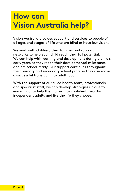# **How can Vision Australia help?**

Vision Australia provides support and services to people of all ages and stages of life who are blind or have low vision.

We work with children, their families and support networks to help each child reach their full potential. We can help with learning and development during a child's early years so they reach their developmental milestones and are school-ready. Our support continues throughout their primary and secondary school years so they can make a successful transition into adulthood.

With the support of our allied health team, professionals and specialist staff, we can develop strategies unique to every child, to help them grow into confident, healthy, independent adults and live the life they choose.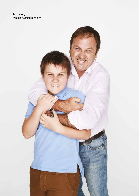**Maxwell,** Vision Australia client